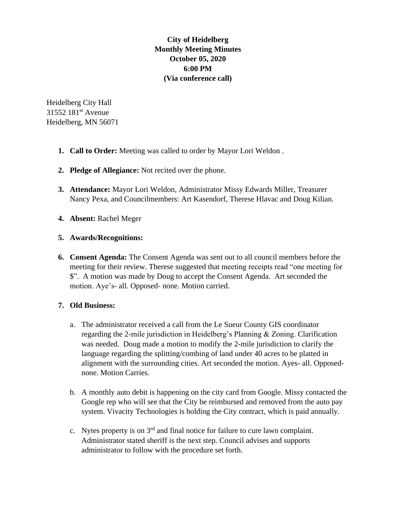**City of Heidelberg Monthly Meeting Minutes October 05, 2020 6:00 PM (Via conference call)**

Heidelberg City Hall 31552 181st Avenue Heidelberg, MN 56071

- **1. Call to Order:** Meeting was called to order by Mayor Lori Weldon .
- **2. Pledge of Allegiance:** Not recited over the phone.
- **3. Attendance:** Mayor Lori Weldon, Administrator Missy Edwards Miller, Treasurer Nancy Pexa, and Councilmembers: Art Kasendorf, Therese Hlavac and Doug Kilian.
- **4. Absent:** Rachel Meger

## **5. Awards/Recognitions:**

**6. Consent Agenda:** The Consent Agenda was sent out to all council members before the meeting for their review. Therese suggested that meeting receipts read "one meeting for \$". A motion was made by Doug to accept the Consent Agenda. Art seconded the motion. Aye's- all. Opposed- none. Motion carried.

## **7. Old Business:**

- a. The administrator received a call from the Le Sueur County GIS coordinator regarding the 2-mile jurisdiction in Heidelberg's Planning & Zoning. Clarification was needed. Doug made a motion to modify the 2-mile jurisdiction to clarify the language regarding the splitting/combing of land under 40 acres to be platted in alignment with the surrounding cities. Art seconded the motion. Ayes- all. Opposednone. Motion Carries.
- b. A monthly auto debit is happening on the city card from Google. Missy contacted the Google rep who will see that the City be reimbursed and removed from the auto pay system. Vivacity Technologies is holding the City contract, which is paid annually.
- c. Nytes property is on  $3<sup>rd</sup>$  and final notice for failure to cure lawn complaint. Administrator stated sheriff is the next step. Council advises and supports administrator to follow with the procedure set forth.